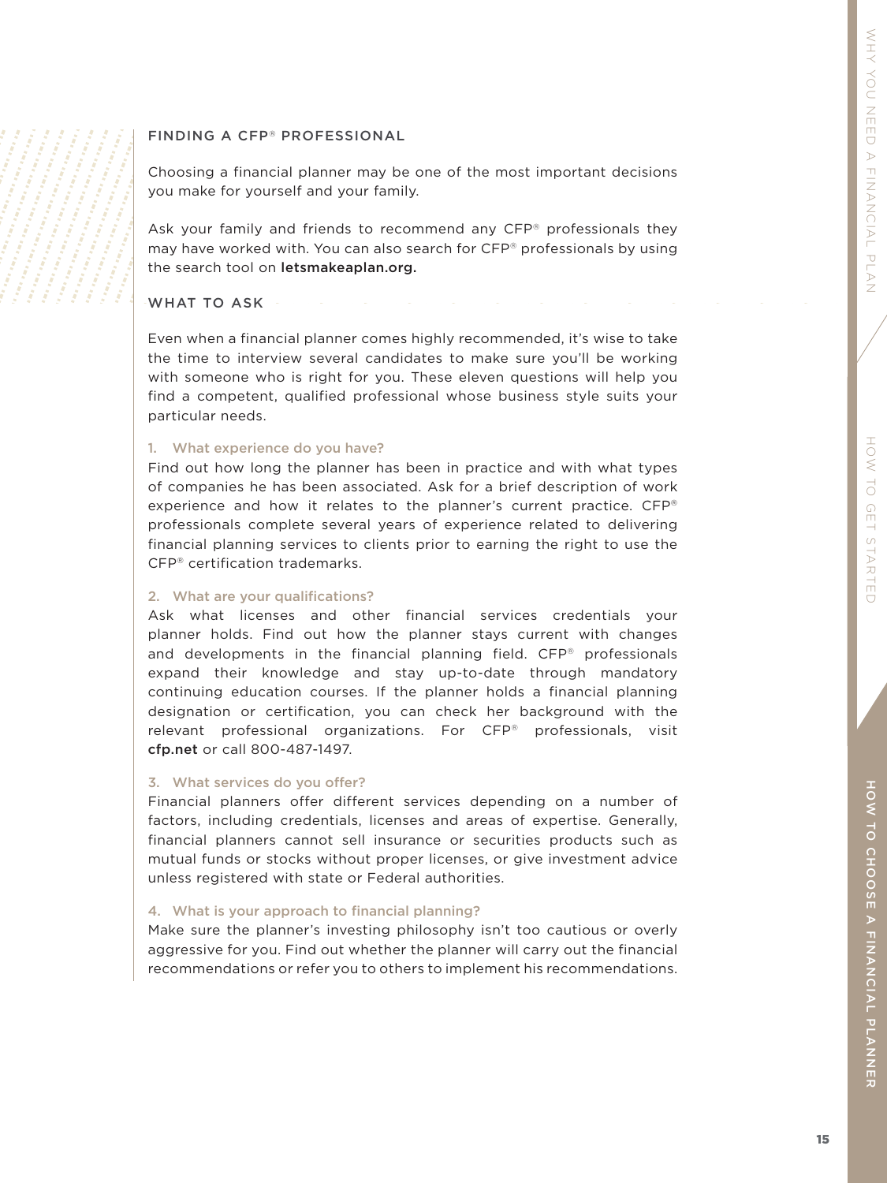# HON HOW TO GET STARTED  $\begin{array}{c}\n\cup \\
\cup\n\end{array}$ GET STARTED

## FINDING A CFP ® PROFESSIONAL

Choosing a financial planner may be one of the most important decisions you make for yourself and your family.

Ask your family and friends to recommend any CFP ® professionals they may have worked with. You can also search for CFP ® professionals by using the search tool on letsmakeaplan.org.

## WHAT TO ASK

Even when a financial planner comes highly recommended, it's wise to take the time to interview several candidates to make sure you'll be working with someone who is right for you. These eleven questions will help you find a competent, qualified professional whose business style suits your particular needs.

## 1. What experience do you have?

Find out how long the planner has been in practice and with what types of companies he has been associated. Ask for a brief description of work experience and how it relates to the planner's current practice. CFP® professionals complete several years of experience related to delivering financial planning services to clients prior to earning the right to use the CFP ® certification trademarks.

## 2. What are your qualifications?

Ask what licenses and other financial services credentials your planner holds. Find out how the planner stays current with changes and developments in the financial planning field. CFP ® professionals expand their knowledge and stay up-to-date through mandatory continuing education courses. If the planner holds a financial planning designation or certification, you can check her background with the relevant professional organizations. For CFP ® professionals, visit cfp.net or call 800-487-1497.

#### 3. What services do you offer?

Financial planners offer different services depending on a number of factors, including credentials, licenses and areas of expertise. Generally, financial planners cannot sell insurance or securities products such as mutual funds or stocks without proper licenses, or give investment advice unless registered with state or Federal authorities.

## 4. What is your approach to financial planning?

Make sure the planner's investing philosophy isn't too cautious or overly aggressive for you. Find out whether the planner will carry out the financial recommendations or refer you to others to implement his recommendations.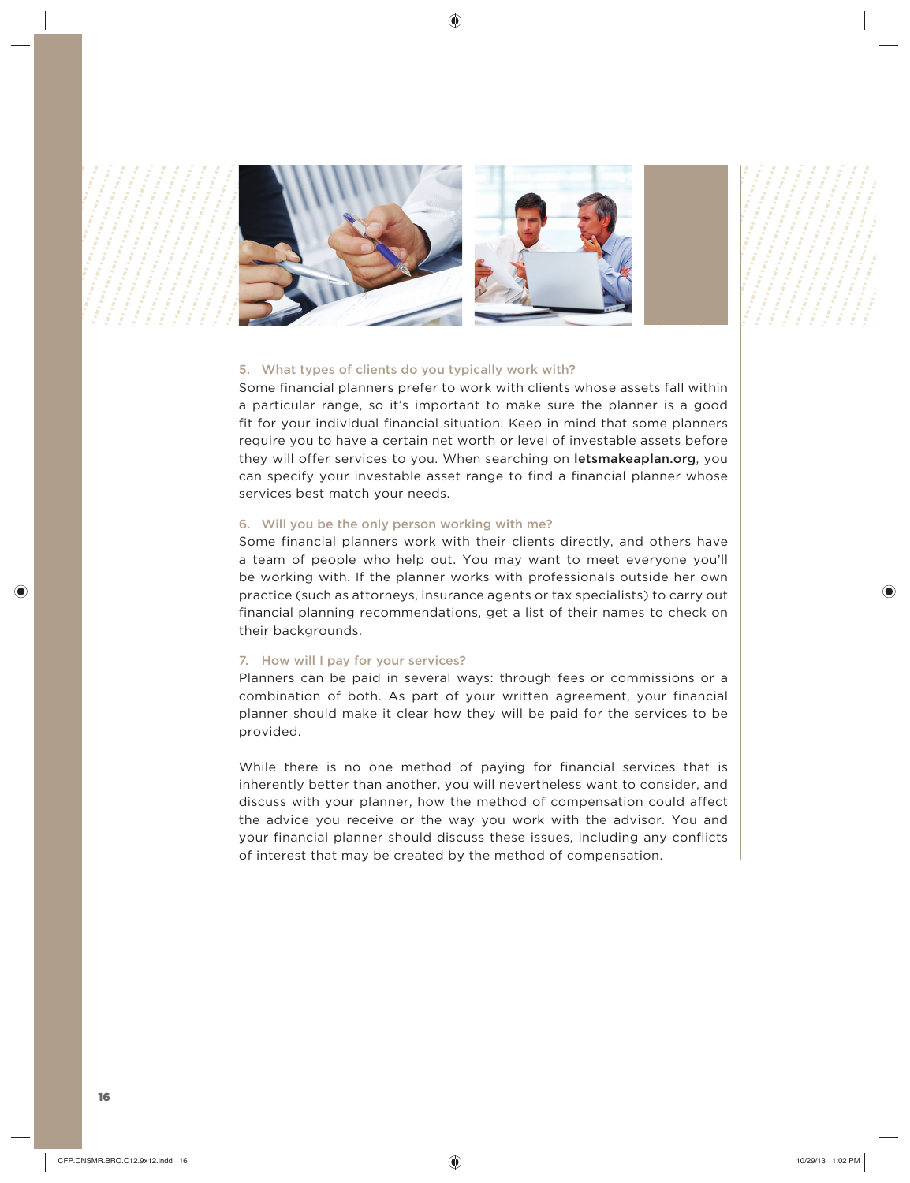

### 5. What types of clients do you typically work with?

Some financial planners prefer to work with clients whose assets fall within a particular range, so it's important to make sure the planner is a good fit for your individual financial situation. Keep in mind that some planners require you to have a certain net worth or level of investable assets before they will offer services to you. When searching on letsmakeaplan.org, you can specify your investable asset range to find a financial planner whose services best match your needs.

#### 6. Will you be the only person working with me?

Some financial planners work with their clients directly, and others have a team of people who help out. You may want to meet everyone you'll be working with. If the planner works with professionals outside her own practice (such as attorneys, insurance agents or tax specialists) to carry out financial planning recommendations, get a list of their names to check on their backgrounds.

#### 7. How will I pay for your services?

Planners can be paid in several ways: through fees or commissions or a combination of both. As part of your written agreement, your financial planner should make it clear how they will be paid for the services to be provided.

While there is no one method of paying for financial services that is inherently better than another, you will nevertheless want to consider, and discuss with your planner, how the method of compensation could affect the advice you receive or the way you work with the advisor. You and your financial planner should discuss these issues, including any conflicts of interest that may be created by the method of compensation.